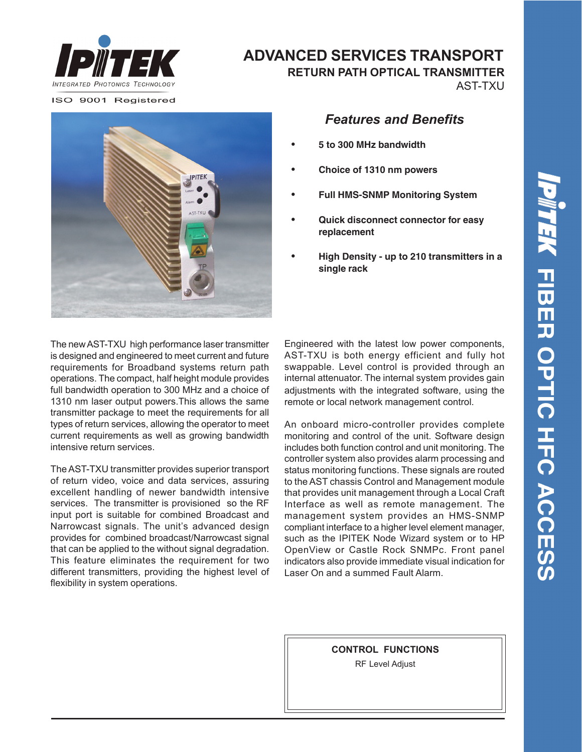

**ADVANCED SERVICES TRANSPORT**

 **RETURN PATH OPTICAL TRANSMITTER**

AST-TXU

ISO 9001 Registered



## *Features and Benefits*

- **• 5 to 300 MHz bandwidth**
- **• Choice of 1310 nm powers**
- **• Full HMS-SNMP Monitoring System**
- **• Quick disconnect connector for easy replacement**
- **• High Density up to 210 transmitters in a single rack**

The new AST-TXU high performance laser transmitter is designed and engineered to meet current and future requirements for Broadband systems return path operations. The compact, half height module provides full bandwidth operation to 300 MHz and a choice of 1310 nm laser output powers.This allows the same transmitter package to meet the requirements for all types of return services, allowing the operator to meet current requirements as well as growing bandwidth intensive return services.

The AST-TXU transmitter provides superior transport of return video, voice and data services, assuring excellent handling of newer bandwidth intensive services. The transmitter is provisioned so the RF input port is suitable for combined Broadcast and Narrowcast signals. The unit's advanced design provides for combined broadcast/Narrowcast signal that can be applied to the without signal degradation. This feature eliminates the requirement for two different transmitters, providing the highest level of flexibility in system operations.

adjustments with the integrated software, using the remote or local network management control. Engineered with the latest low power components, AST-TXU is both energy efficient and fully hot swappable. Level control is provided through an internal attenuator. The internal system provides gain

An onboard micro-controller provides complete monitoring and control of the unit. Software design includes both function control and unit monitoring. The controller system also provides alarm processing and status monitoring functions. These signals are routed to the AST chassis Control and Management module that provides unit management through a Local Craft Interface as well as remote management. The management system provides an HMS-SNMP compliant interface to a higher level element manager, such as the IPITEK Node Wizard system or to HP OpenView or Castle Rock SNMPc. Front panel indicators also provide immediate visual indication for Laser On and a summed Fault Alarm.

> **CONTROL FUNCTIONS** RF Level Adjust